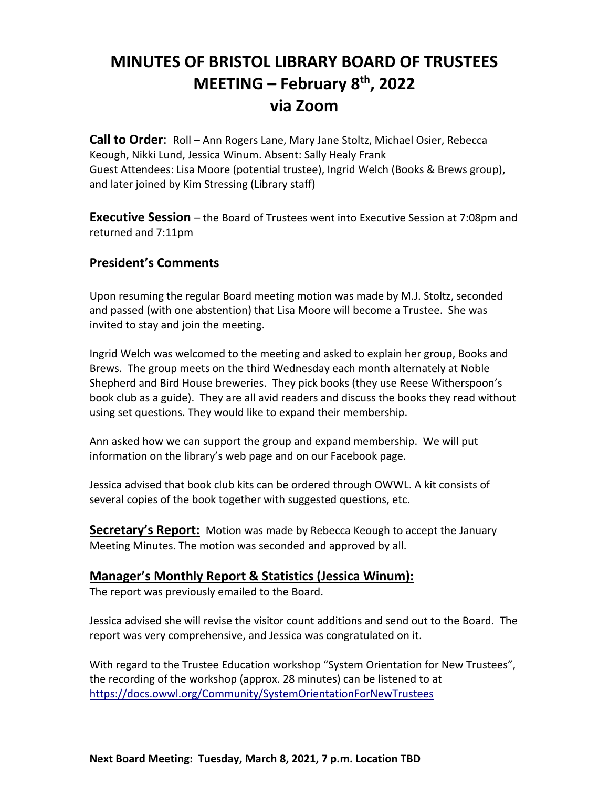# **MINUTES OF BRISTOL LIBRARY BOARD OF TRUSTEES MEETING – February 8th , 2022 via Zoom**

**Call to Order**: Roll – Ann Rogers Lane, Mary Jane Stoltz, Michael Osier, Rebecca Keough, Nikki Lund, Jessica Winum. Absent: Sally Healy Frank Guest Attendees: Lisa Moore (potential trustee), Ingrid Welch (Books & Brews group), and later joined by Kim Stressing (Library staff)

**Executive Session** – the Board of Trustees went into Executive Session at 7:08pm and returned and 7:11pm

# **President's Comments**

Upon resuming the regular Board meeting motion was made by M.J. Stoltz, seconded and passed (with one abstention) that Lisa Moore will become a Trustee. She was invited to stay and join the meeting.

Ingrid Welch was welcomed to the meeting and asked to explain her group, Books and Brews. The group meets on the third Wednesday each month alternately at Noble Shepherd and Bird House breweries. They pick books (they use Reese Witherspoon's book club as a guide). They are all avid readers and discuss the books they read without using set questions. They would like to expand their membership.

Ann asked how we can support the group and expand membership. We will put information on the library's web page and on our Facebook page.

Jessica advised that book club kits can be ordered through OWWL. A kit consists of several copies of the book together with suggested questions, etc.

**Secretary's Report:** Motion was made by Rebecca Keough to accept the January Meeting Minutes. The motion was seconded and approved by all.

# **Manager's Monthly Report & Statistics (Jessica Winum):**

The report was previously emailed to the Board.

Jessica advised she will revise the visitor count additions and send out to the Board. The report was very comprehensive, and Jessica was congratulated on it.

With regard to the Trustee Education workshop "System Orientation for New Trustees", the recording of the workshop (approx. 28 minutes) can be listened to at <https://docs.owwl.org/Community/SystemOrientationForNewTrustees>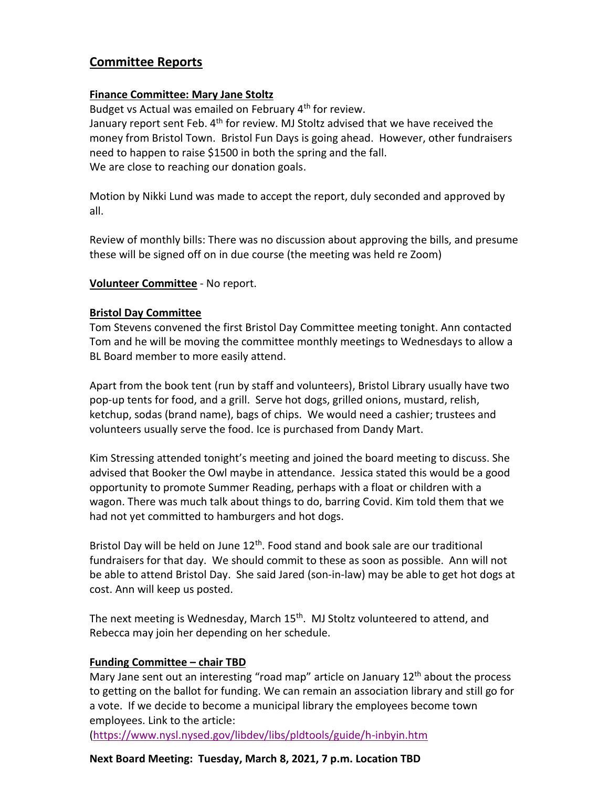# **Committee Reports**

#### **Finance Committee: Mary Jane Stoltz**

Budget vs Actual was emailed on February 4<sup>th</sup> for review. January report sent Feb.  $4<sup>th</sup>$  for review. MJ Stoltz advised that we have received the money from Bristol Town. Bristol Fun Days is going ahead. However, other fundraisers need to happen to raise \$1500 in both the spring and the fall. We are close to reaching our donation goals.

Motion by Nikki Lund was made to accept the report, duly seconded and approved by all.

Review of monthly bills: There was no discussion about approving the bills, and presume these will be signed off on in due course (the meeting was held re Zoom)

#### **Volunteer Committee** - No report.

#### **Bristol Day Committee**

Tom Stevens convened the first Bristol Day Committee meeting tonight. Ann contacted Tom and he will be moving the committee monthly meetings to Wednesdays to allow a BL Board member to more easily attend.

Apart from the book tent (run by staff and volunteers), Bristol Library usually have two pop-up tents for food, and a grill. Serve hot dogs, grilled onions, mustard, relish, ketchup, sodas (brand name), bags of chips. We would need a cashier; trustees and volunteers usually serve the food. Ice is purchased from Dandy Mart.

Kim Stressing attended tonight's meeting and joined the board meeting to discuss. She advised that Booker the Owl maybe in attendance. Jessica stated this would be a good opportunity to promote Summer Reading, perhaps with a float or children with a wagon. There was much talk about things to do, barring Covid. Kim told them that we had not yet committed to hamburgers and hot dogs.

Bristol Day will be held on June  $12<sup>th</sup>$ . Food stand and book sale are our traditional fundraisers for that day. We should commit to these as soon as possible. Ann will not be able to attend Bristol Day. She said Jared (son-in-law) may be able to get hot dogs at cost. Ann will keep us posted.

The next meeting is Wednesday, March 15<sup>th</sup>. MJ Stoltz volunteered to attend, and Rebecca may join her depending on her schedule.

#### **Funding Committee – chair TBD**

Mary Jane sent out an interesting "road map" article on January  $12<sup>th</sup>$  about the process to getting on the ballot for funding. We can remain an association library and still go for a vote. If we decide to become a municipal library the employees become town employees. Link to the article:

[\(https://www.nysl.nysed.gov/libdev/libs/pldtools/guide/h-inbyin.htm](https://www.nysl.nysed.gov/libdev/libs/pldtools/guide/h-inbyin.htm)

#### **Next Board Meeting: Tuesday, March 8, 2021, 7 p.m. Location TBD**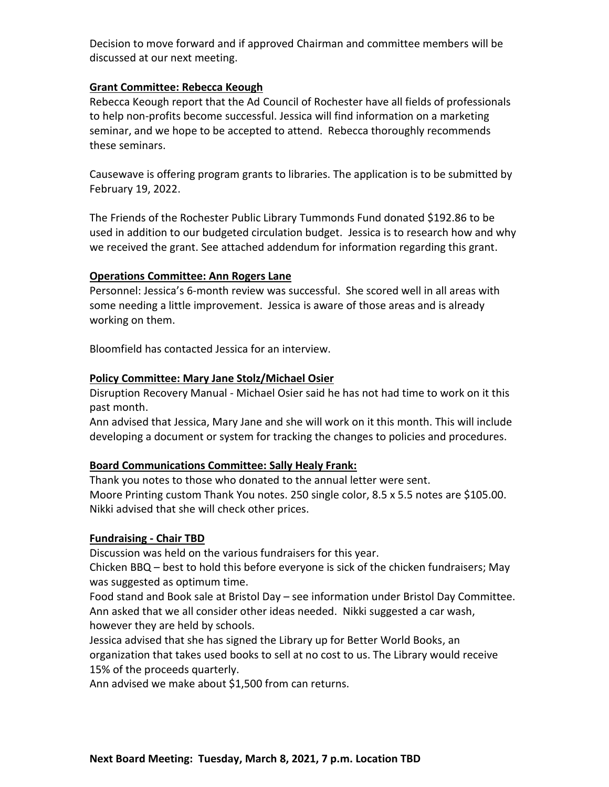Decision to move forward and if approved Chairman and committee members will be discussed at our next meeting.

#### **Grant Committee: Rebecca Keough**

Rebecca Keough report that the Ad Council of Rochester have all fields of professionals to help non-profits become successful. Jessica will find information on a marketing seminar, and we hope to be accepted to attend. Rebecca thoroughly recommends these seminars.

Causewave is offering program grants to libraries. The application is to be submitted by February 19, 2022.

The Friends of the Rochester Public Library Tummonds Fund donated \$192.86 to be used in addition to our budgeted circulation budget. Jessica is to research how and why we received the grant. See attached addendum for information regarding this grant.

# **Operations Committee: Ann Rogers Lane**

Personnel: Jessica's 6-month review was successful. She scored well in all areas with some needing a little improvement. Jessica is aware of those areas and is already working on them.

Bloomfield has contacted Jessica for an interview.

# **Policy Committee: Mary Jane Stolz/Michael Osier**

Disruption Recovery Manual - Michael Osier said he has not had time to work on it this past month.

Ann advised that Jessica, Mary Jane and she will work on it this month. This will include developing a document or system for tracking the changes to policies and procedures.

# **Board Communications Committee: Sally Healy Frank:**

Thank you notes to those who donated to the annual letter were sent. Moore Printing custom Thank You notes. 250 single color, 8.5 x 5.5 notes are \$105.00. Nikki advised that she will check other prices.

# **Fundraising - Chair TBD**

Discussion was held on the various fundraisers for this year.

Chicken BBQ – best to hold this before everyone is sick of the chicken fundraisers; May was suggested as optimum time.

Food stand and Book sale at Bristol Day – see information under Bristol Day Committee. Ann asked that we all consider other ideas needed. Nikki suggested a car wash, however they are held by schools.

Jessica advised that she has signed the Library up for Better World Books, an organization that takes used books to sell at no cost to us. The Library would receive 15% of the proceeds quarterly.

Ann advised we make about \$1,500 from can returns.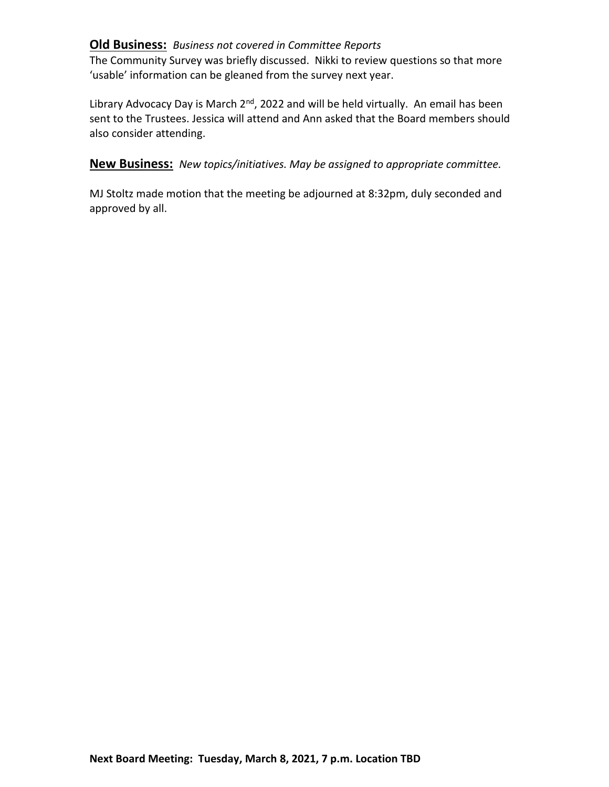# **Old Business:** *Business not covered in Committee Reports*

The Community Survey was briefly discussed. Nikki to review questions so that more 'usable' information can be gleaned from the survey next year.

Library Advocacy Day is March  $2^{nd}$ , 2022 and will be held virtually. An email has been sent to the Trustees. Jessica will attend and Ann asked that the Board members should also consider attending.

**New Business:** *New topics/initiatives. May be assigned to appropriate committee.*

MJ Stoltz made motion that the meeting be adjourned at 8:32pm, duly seconded and approved by all.